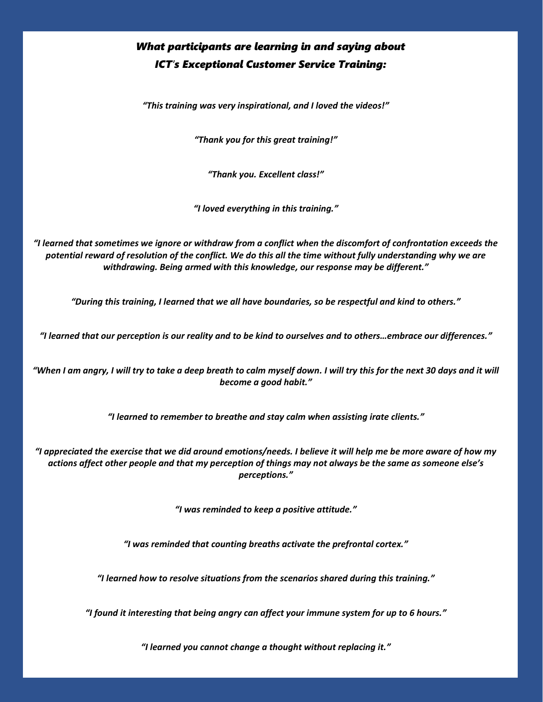## *What participants are learning in and saying about ICT's Exceptional Customer Service Training:*

*"This training was very inspirational, and I loved the videos!"*

*"Thank you for this great training!"*

*"Thank you. Excellent class!"*

*"I loved everything in this training."*

*"I learned that sometimes we ignore or withdraw from a conflict when the discomfort of confrontation exceeds the potential reward of resolution of the conflict. We do this all the time without fully understanding why we are withdrawing. Being armed with this knowledge, our response may be different."*

*"During this training, I learned that we all have boundaries, so be respectful and kind to others."*

*"I learned that our perception is our reality and to be kind to ourselves and to others…embrace our differences."*

*"When I am angry, I will try to take a deep breath to calm myself down. I will try this for the next 30 days and it will become a good habit."*

*"I learned to remember to breathe and stay calm when assisting irate clients."*

*"I appreciated the exercise that we did around emotions/needs. I believe it will help me be more aware of how my actions affect other people and that my perception of things may not always be the same as someone else's perceptions."*

*"I was reminded to keep a positive attitude."*

*"I was reminded that counting breaths activate the prefrontal cortex."*

*"I learned how to resolve situations from the scenarios shared during this training."*

*"I found it interesting that being angry can affect your immune system for up to 6 hours."*

*"I learned you cannot change a thought without replacing it."*